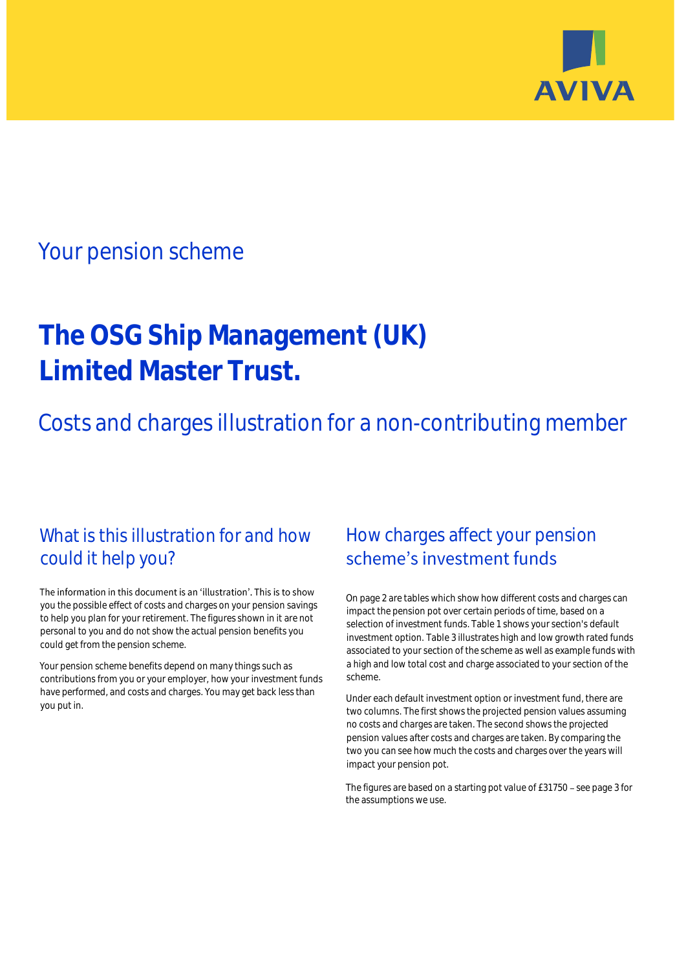

# Your pension scheme

# **The OSG Ship Management (UK) Limited Master Trust.**

Costs and charges illustration for a non-contributing member

## What is this illustration for and how could it help you?

### The information in this document is an 'illustration'. This is to show you the possible effect of costs and charges on your pension savings to help you plan for your retirement. The figures shown in it are not personal to you and do not show the actual pension benefits you could get from the pension scheme.

Your pension scheme benefits depend on many things such as contributions from you or your employer, how your investment funds have performed, and costs and charges. You may get back less than you put in.

# How charges affect your pension scheme's investment funds

On page 2 are tables which show how different costs and charges can impact the pension pot over certain periods of time, based on a selection of investment funds. Table 1 shows your section's default investment option. Table 3 illustrates high and low growth rated funds associated to your section of the scheme as well as example funds with a high and low total cost and charge associated to your section of the scheme.

Under each default investment option or investment fund, there are two columns. The first shows the projected pension values assuming no costs and charges are taken. The second shows the projected pension values after costs and charges are taken. By comparing the two you can see how much the costs and charges over the years will impact your pension pot.

The figures are based on a starting pot value of £31750 - see page 3 for the assumptions we use.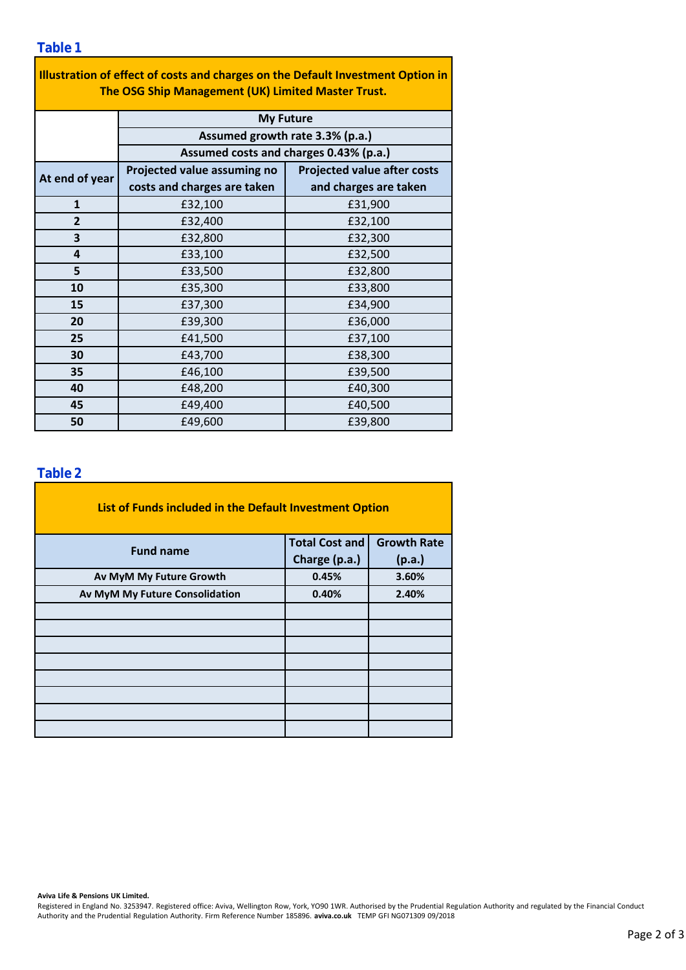| Illustration of effect of costs and charges on the Default Investment Option in<br>The OSG Ship Management (UK) Limited Master Trust. |                                                                           |                                    |  |  |  |  |  |  |
|---------------------------------------------------------------------------------------------------------------------------------------|---------------------------------------------------------------------------|------------------------------------|--|--|--|--|--|--|
|                                                                                                                                       | <b>My Future</b>                                                          |                                    |  |  |  |  |  |  |
|                                                                                                                                       | Assumed growth rate 3.3% (p.a.)<br>Assumed costs and charges 0.43% (p.a.) |                                    |  |  |  |  |  |  |
|                                                                                                                                       |                                                                           |                                    |  |  |  |  |  |  |
| At end of year                                                                                                                        | Projected value assuming no                                               | <b>Projected value after costs</b> |  |  |  |  |  |  |
|                                                                                                                                       | costs and charges are taken                                               | and charges are taken              |  |  |  |  |  |  |
| $\mathbf{1}$                                                                                                                          | £32,100                                                                   | £31,900                            |  |  |  |  |  |  |
| $\overline{2}$                                                                                                                        | £32,400                                                                   | £32,100                            |  |  |  |  |  |  |
| 3                                                                                                                                     | £32,800                                                                   | £32,300                            |  |  |  |  |  |  |
| 4                                                                                                                                     | £33,100                                                                   | £32,500                            |  |  |  |  |  |  |
| 5                                                                                                                                     | £33,500                                                                   | £32,800                            |  |  |  |  |  |  |
| 10                                                                                                                                    | £35,300                                                                   | £33,800                            |  |  |  |  |  |  |
| 15                                                                                                                                    | £37,300                                                                   | £34,900                            |  |  |  |  |  |  |
| 20                                                                                                                                    | £39,300                                                                   | £36,000                            |  |  |  |  |  |  |
| 25                                                                                                                                    | £41,500                                                                   | £37,100                            |  |  |  |  |  |  |
| 30                                                                                                                                    | £43,700                                                                   | £38,300                            |  |  |  |  |  |  |
| 35                                                                                                                                    | £46,100                                                                   | £39,500                            |  |  |  |  |  |  |
| 40                                                                                                                                    | £48,200                                                                   | £40,300                            |  |  |  |  |  |  |
| 45                                                                                                                                    | £49,400                                                                   | £40,500                            |  |  |  |  |  |  |
| 50                                                                                                                                    | £49,600                                                                   | £39,800                            |  |  |  |  |  |  |

### **Table 2**

| List of Funds included in the Default Investment Option |                       |                    |  |  |  |  |  |  |
|---------------------------------------------------------|-----------------------|--------------------|--|--|--|--|--|--|
| <b>Fund name</b>                                        | <b>Total Cost and</b> | <b>Growth Rate</b> |  |  |  |  |  |  |
|                                                         | Charge (p.a.)         | (p.a.)             |  |  |  |  |  |  |
| Av MyM My Future Growth                                 | 0.45%                 | 3.60%              |  |  |  |  |  |  |
| Av MyM My Future Consolidation                          | 0.40%                 | 2.40%              |  |  |  |  |  |  |
|                                                         |                       |                    |  |  |  |  |  |  |
|                                                         |                       |                    |  |  |  |  |  |  |
|                                                         |                       |                    |  |  |  |  |  |  |
|                                                         |                       |                    |  |  |  |  |  |  |
|                                                         |                       |                    |  |  |  |  |  |  |
|                                                         |                       |                    |  |  |  |  |  |  |
|                                                         |                       |                    |  |  |  |  |  |  |
|                                                         |                       |                    |  |  |  |  |  |  |

#### **Aviva Life & Pensions UK Limited.**

Registered in England No. 3253947. Registered office: Aviva, Wellington Row, York, YO90 1WR. Authorised by the Prudential Regulation Authority and regulated by the Financial Conduct Authority and the Prudential Regulation Authority. Firm Reference Number 185896. **aviva.co.uk** TEMP GFI NG071309 09/2018